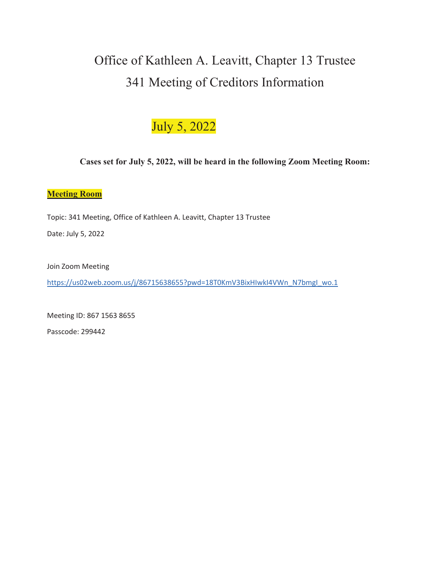# Office of Kathleen A. Leavitt, Chapter 13 Trustee 341 Meeting of Creditors Information

# July 5, 2022

## **Cases set for July 5, 2022, will be heard in the following Zoom Meeting Room:**

#### **Meeting Room**

Topic: 341 Meeting, Office of Kathleen A. Leavitt, Chapter 13 Trustee

Date: July 5, 2022

Join Zoom Meeting

https://us02web.zoom.us/j/86715638655?pwd=18T0KmV3BixHIwkI4VWn\_N7bmgI\_wo.1

Meeting ID: 867 1563 8655

Passcode: 299442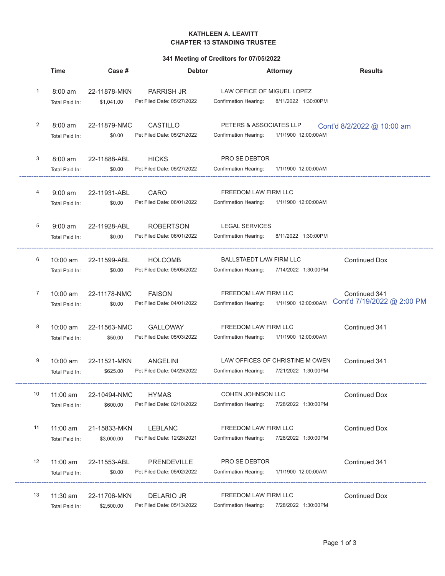#### KATHLEEN A. LEAVITT **CHAPTER 13 STANDING TRUSTEE**

#### 341 Meeting of Creditors for 07/05/2022

|    | <b>Time</b>                         | Case #                     | <b>Debtor</b>                                   | <b>Attorney</b>                                                                   | <b>Results</b>                              |
|----|-------------------------------------|----------------------------|-------------------------------------------------|-----------------------------------------------------------------------------------|---------------------------------------------|
| 1  | $8:00 \text{ am}$<br>Total Paid In: | 22-11878-MKN<br>\$1,041.00 | <b>PARRISH JR</b><br>Pet Filed Date: 05/27/2022 | LAW OFFICE OF MIGUEL LOPEZ<br>8/11/2022 1:30:00PM<br><b>Confirmation Hearing:</b> |                                             |
| 2  | $8:00$ am<br>Total Paid In:         | 22-11879-NMC<br>\$0.00     | CASTILLO<br>Pet Filed Date: 05/27/2022          | PETERS & ASSOCIATES LLP<br>Confirmation Hearing: 1/1/1900 12:00:00AM              | Cont'd 8/2/2022 @ 10:00 am                  |
| 3  | $8:00$ am<br>Total Paid In:         | 22-11888-ABL<br>\$0.00     | <b>HICKS</b><br>Pet Filed Date: 05/27/2022      | PRO SE DEBTOR<br>Confirmation Hearing:<br>1/1/1900 12:00:00AM                     |                                             |
| 4  | $9:00$ am<br>Total Paid In:         | 22-11931-ABL<br>\$0.00     | CARO<br>Pet Filed Date: 06/01/2022              | FREEDOM LAW FIRM LLC<br>Confirmation Hearing: 1/1/1900 12:00:00AM                 |                                             |
| 5  | $9:00$ am<br>Total Paid In:         | 22-11928-ABL<br>\$0.00     | <b>ROBERTSON</b><br>Pet Filed Date: 06/01/2022  | <b>LEGAL SERVICES</b><br>Confirmation Hearing:<br>8/11/2022 1:30:00PM             |                                             |
| 6  | $10:00$ am<br>Total Paid In:        | 22-11599-ABL<br>\$0.00     | <b>HOLCOMB</b><br>Pet Filed Date: 05/05/2022    | <b>BALLSTAEDT LAW FIRM LLC</b><br>7/14/2022 1:30:00PM<br>Confirmation Hearing:    | <b>Continued Dox</b>                        |
| 7  | $10:00$ am<br>Total Paid In:        | 22-11178-NMC<br>\$0.00     | <b>FAISON</b><br>Pet Filed Date: 04/01/2022     | FREEDOM LAW FIRM LLC<br>1/1/1900 12:00:00AM<br>Confirmation Hearing:              | Continued 341<br>Cont'd 7/19/2022 @ 2:00 PM |
| 8  | $10:00$ am<br>Total Paid In:        | 22-11563-NMC<br>\$50.00    | <b>GALLOWAY</b><br>Pet Filed Date: 05/03/2022   | FREEDOM LAW FIRM LLC<br>Confirmation Hearing:<br>1/1/1900 12:00:00AM              | Continued 341                               |
| 9  | 10:00 am<br>Total Paid In:          | 22-11521-MKN<br>\$625.00   | <b>ANGELINI</b><br>Pet Filed Date: 04/29/2022   | LAW OFFICES OF CHRISTINE M OWEN<br>Confirmation Hearing:<br>7/21/2022 1:30:00PM   | Continued 341                               |
| 10 | 11:00 am<br>Total Paid In:          | 22-10494-NMC<br>\$600.00   | <b>HYMAS</b><br>Pet Filed Date: 02/10/2022      | COHEN JOHNSON LLC<br><b>Confirmation Hearing:</b><br>7/28/2022 1:30:00PM          | <b>Continued Dox</b>                        |
| 11 | 11:00 am<br>Total Paid In:          | 21-15833-MKN<br>\$3,000.00 | <b>LEBLANC</b><br>Pet Filed Date: 12/28/2021    | FREEDOM LAW FIRM LLC<br><b>Confirmation Hearing:</b><br>7/28/2022 1:30:00PM       | <b>Continued Dox</b>                        |
| 12 | 11:00 am<br>Total Paid In:          | 22-11553-ABL<br>\$0.00     | PRENDEVILLE<br>Pet Filed Date: 05/02/2022       | PRO SE DEBTOR<br>Confirmation Hearing:<br>1/1/1900 12:00:00AM                     | Continued 341                               |
| 13 | $11:30$ am<br>Total Paid In:        | 22-11706-MKN<br>\$2,500.00 | <b>DELARIO JR</b><br>Pet Filed Date: 05/13/2022 | FREEDOM LAW FIRM LLC<br>Confirmation Hearing:<br>7/28/2022 1:30:00PM              | <b>Continued Dox</b>                        |

ä,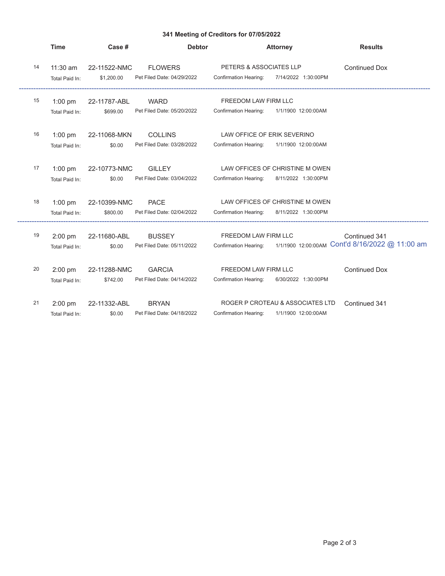### 341 Meeting of Creditors for 07/05/2022

|    | <b>Time</b>                  | Case #                     | <b>Debtor</b>                                |                                                      | <b>Attorney</b>                                                               | <b>Results</b>                                                                        |
|----|------------------------------|----------------------------|----------------------------------------------|------------------------------------------------------|-------------------------------------------------------------------------------|---------------------------------------------------------------------------------------|
| 14 | $11:30$ am<br>Total Paid In: | 22-11522-NMC<br>\$1,200.00 | <b>FLOWERS</b><br>Pet Filed Date: 04/29/2022 | PETERS & ASSOCIATES LLP                              | Confirmation Hearing: 7/14/2022 1:30:00PM                                     | <b>Continued Dox</b>                                                                  |
| 15 | $1:00$ pm<br>Total Paid In:  | 22-11787-ABL<br>\$699.00   | WARD<br>Pet Filed Date: 05/20/2022           | FREEDOM LAW FIRM LLC                                 | Confirmation Hearing: 1/1/1900 12:00:00AM                                     |                                                                                       |
| 16 | $1:00$ pm<br>Total Paid In:  | 22-11068-MKN<br>\$0.00     | <b>COLLINS</b><br>Pet Filed Date: 03/28/2022 | LAW OFFICE OF ERIK SEVERINO                          | Confirmation Hearing: 1/1/1900 12:00:00AM                                     |                                                                                       |
| 17 | $1:00$ pm<br>Total Paid In:  | 22-10773-NMC<br>\$0.00     | <b>GILLEY</b><br>Pet Filed Date: 03/04/2022  |                                                      | LAW OFFICES OF CHRISTINE M OWEN<br>Confirmation Hearing: 8/11/2022 1:30:00PM  |                                                                                       |
| 18 | $1:00$ pm<br>Total Paid In:  | 22-10399-NMC<br>\$800.00   | PACE<br>Pet Filed Date: 02/04/2022           | Confirmation Hearing:                                | LAW OFFICES OF CHRISTINE M OWEN<br>8/11/2022 1:30:00PM                        |                                                                                       |
| 19 | 2:00 pm<br>Total Paid In:    | 22-11680-ABL<br>\$0.00     | <b>BUSSEY</b><br>Pet Filed Date: 05/11/2022  | FREEDOM LAW FIRM LLC                                 |                                                                               | Continued 341<br>Confirmation Hearing: 1/1/1900 12:00:00AM CONTd 8/16/2022 @ 11:00 am |
| 20 | $2:00$ pm<br>Total Paid In:  | 22-11288-NMC<br>\$742.00   | <b>GARCIA</b><br>Pet Filed Date: 04/14/2022  | FREEDOM LAW FIRM LLC<br><b>Confirmation Hearing:</b> | 6/30/2022 1:30:00PM                                                           | <b>Continued Dox</b>                                                                  |
| 21 | $2:00$ pm<br>Total Paid In:  | 22-11332-ABL<br>\$0.00     | <b>BRYAN</b><br>Pet Filed Date: 04/18/2022   |                                                      | ROGER P CROTEAU & ASSOCIATES LTD<br>Confirmation Hearing: 1/1/1900 12:00:00AM | Continued 341                                                                         |